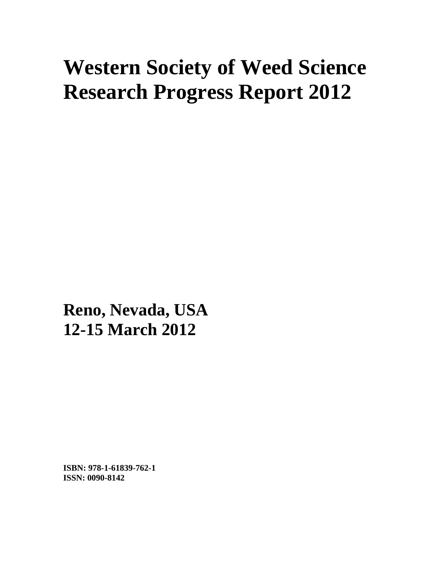# **Western Society of Weed Science Research Progress Report 2012**

**Reno, Nevada, USA 12-15 March 2012**

**ISBN: 978-1-61839-762-1 ISSN: 0090-8142**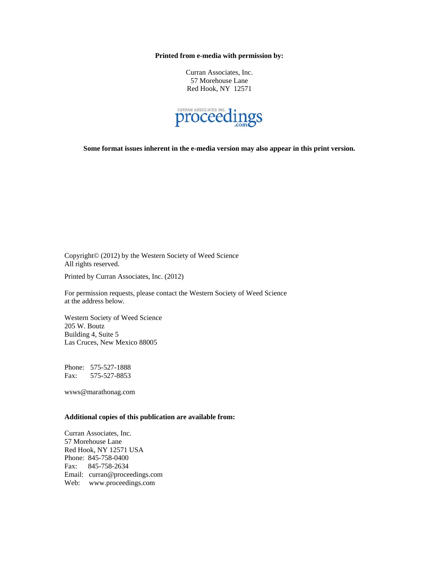**Printed from e-media with permission by:** 

Curran Associates, Inc. 57 Morehouse Lane Red Hook, NY 12571



**Some format issues inherent in the e-media version may also appear in this print version.** 

Copyright© (2012) by the Western Society of Weed Science All rights reserved.

Printed by Curran Associates, Inc. (2012)

For permission requests, please contact the Western Society of Weed Science at the address below.

Western Society of Weed Science 205 W. Boutz Building 4, Suite 5 Las Cruces, New Mexico 88005

Phone: 575-527-1888 Fax: 575-527-8853

wsws@marathonag.com

#### **Additional copies of this publication are available from:**

Curran Associates, Inc. 57 Morehouse Lane Red Hook, NY 12571 USA Phone: 845-758-0400 Fax: 845-758-2634 Email: curran@proceedings.com Web: www.proceedings.com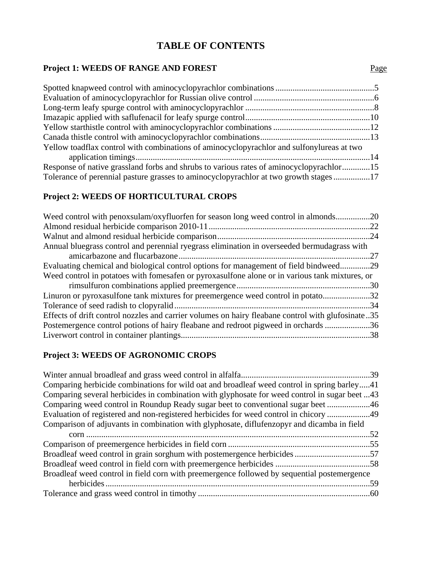# **TABLE OF CONTENTS**

#### **Project 1: WEEDS OF RANGE AND FOREST** Page

| Yellow toadflax control with combinations of aminocyclopyrachlor and sulfonylureas at two |  |
|-------------------------------------------------------------------------------------------|--|
|                                                                                           |  |
| Response of native grassland forbs and shrubs to various rates of aminocyclopyrachlor15   |  |
| Tolerance of perennial pasture grasses to aminocyclopyrachlor at two growth stages17      |  |

### **Project 2: WEEDS OF HORTICULTURAL CROPS**

| Weed control with penoxsulam/oxyfluorfen for season long weed control in almonds20                |  |
|---------------------------------------------------------------------------------------------------|--|
|                                                                                                   |  |
|                                                                                                   |  |
| Annual bluegrass control and perennial ryegrass elimination in overseeded bermudagrass with       |  |
|                                                                                                   |  |
| Evaluating chemical and biological control options for management of field bindweed29             |  |
| Weed control in potatoes with fomesafen or pyroxasulfone alone or in various tank mixtures, or    |  |
|                                                                                                   |  |
| Linuron or pyroxasulfone tank mixtures for preemergence weed control in potato32                  |  |
|                                                                                                   |  |
| Effects of drift control nozzles and carrier volumes on hairy fleabane control with glufosinate35 |  |
| Postemergence control potions of hairy fleabane and redroot pigweed in orchards 36                |  |
|                                                                                                   |  |
|                                                                                                   |  |

### **Project 3: WEEDS OF AGRONOMIC CROPS**

| Comparing herbicide combinations for wild oat and broadleaf weed control in spring barley41   |  |
|-----------------------------------------------------------------------------------------------|--|
| Comparing several herbicides in combination with glyphosate for weed control in sugar beet 43 |  |
| Comparing weed control in Roundup Ready sugar beet to conventional sugar beet 46              |  |
| Evaluation of registered and non-registered herbicides for weed control in chicory 49         |  |
| Comparison of adjuvants in combination with glyphosate, diflufenzopyr and dicamba in field    |  |
|                                                                                               |  |
|                                                                                               |  |
|                                                                                               |  |
|                                                                                               |  |
| Broadleaf weed control in field corn with preemergence followed by sequential postemergence   |  |
|                                                                                               |  |
|                                                                                               |  |